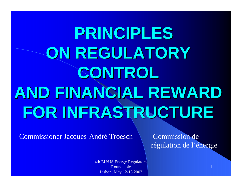# **PRINCIPLES ON REGULATORY CONTROL AND FINANCIAL REWARD FOR INFRASTRUCTURE FOR INFRASTRUCTURE**

Commissioner Jacques-André Troesch \ Commission de

régulation de l'énergie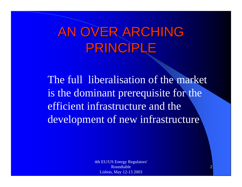### AN OVER ARCHING PRINCIPLE

The full liberalisation of the market is the dominant prerequisite for the efficient infrastructure and the development of new infrastructure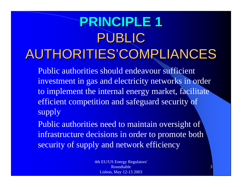# **PRINCIPLE 1 PRINCIPLE 1** PUBLIC AUTHORITIES'COMPLIANCES AUTHORITIES'COMPLIANCES

Public authorities should endeavour sufficient investment in gas and electricity networks in order to implement the internal energy market, facilitate efficient competition and safeguard security of supply

Public authorities need to maintain oversight of infrastructure decisions in order to promote both security of supply and network efficiency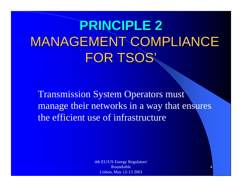# **PRINCIPLE 2 PRINCIPLE 2 MANAGEMENT COMPLIANCE** FOR TSOS'

Transmission System Operators must manage their networks in a way that ensures the efficient use of infrastructure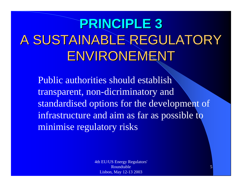# **PRINCIPLE 3 PRINCIPLE 3** A SUSTAINABLE REGULATORY ENVIRONEMENT

Public authorities should establish transparent, non-dicriminatory and standardised options for the development of infrastructure and aim as far as possible to minimise regulatory risks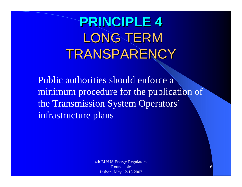# **PRINCIPLE 4 PRINCIPLE 4** LONG TERM TRANSPARENCY

Public authorities should enforce a minimum procedure for the publication of the Transmission System Operators' infrastructure plans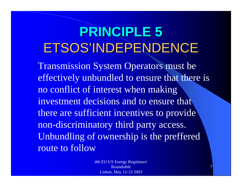## **PRINCIPLE 5 PRINCIPLE 5** ETSOS'INDEPENDENCE

Transmission System Operators must be effectively unbundled to ensure that there is no conflict of interest when making investment decisions and to ensure that there are sufficient incentives to provide non-discriminatory third party access. Unbundling of ownership is the preffered route to follow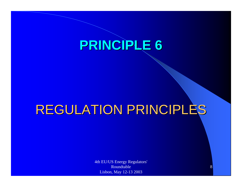#### **PRINCIPLE 6 PRINCIPLE 6**

#### REGULATION PRINCIPLES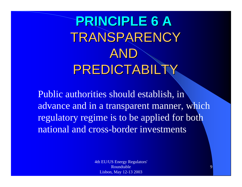# **PRINCIPLE 6 A PRINCIPLE 6 A** TRANSPARENCY ANDPREDICTABILTY

Public authorities should establish, in advance and in a transparent manner, which regulatory regime is to be applied for both national and cross-border investments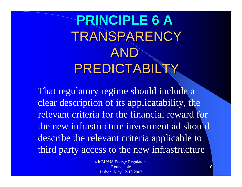# **PRINCIPLE 6 A PRINCIPLE 6 A** TRANSPARENCY ANDPREDICTABILTY

That regulatory regime should include a clear description of its applicatability, the relevant criteria for the financial reward for the new infrastructure investment ad should describe the relevant criteria applicable to third party access to the new infrastructure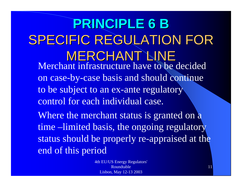#### **PRINCIPLE 6 B PRINCIPLE 6 B** SPECIFIC REGULATION FOR **MERCHANT LINE** Merchant infrastructure have to be decided on case-by-case basis and should continue to be subject to an ex-ante regulatory control for each individual case. Where the merchant status is granted on a time –limited basis, the ongoing regulatory status should be properly re-appraised at the end of this period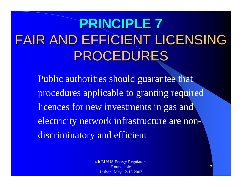# **PRINCIPLE 7 PRINCIPLE 7** FAIR AND EFFICIENT LICENSING FAIR AND EFFICIENT LICENSING PROCEDURES PROCEDURES

Public authorities should guarantee that procedures applicable to granting required licences for new investments in gas and electricity network infrastructure are nondiscriminatory and efficient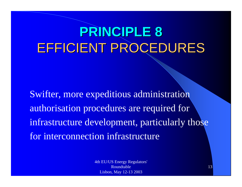## **PRINCIPLE 8 PRINCIPLE 8** EFFICIENT PROCEDURES

Swifter, more expeditious administration authorisation procedures are required for infrastructure development, particularly those for interconnection infrastructure